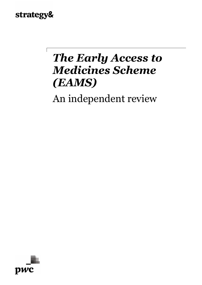## strategy&

## *The Early Access to Medicines Scheme (EAMS)*

An independent review

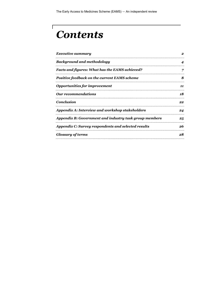## *Contents*

 $\sqrt{2}$ 

| <b>Executive summary</b>                               | 2  |
|--------------------------------------------------------|----|
| <b>Background and methodology</b>                      | 4  |
| Facts and figures: What has the EAMS achieved?         | 7  |
| Positive feedback on the current EAMS scheme           | 8  |
| <b>Opportunities for improvement</b>                   | 11 |
| <b>Our recommendations</b>                             | 18 |
| <b>Conclusion</b>                                      | 22 |
| Appendix A: Interview and workshop stakeholders        | 24 |
| Appendix B: Government and industry task group members | 25 |
| Appendix C: Survey respondents and selected results    | 26 |
| <b>Glossary of terms</b>                               | 28 |
|                                                        |    |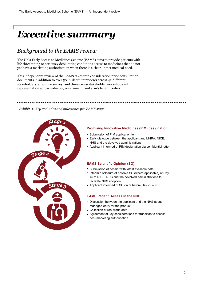## <span id="page-2-0"></span>*Executive summary*

## *Background to the EAMS review*

The UK's Early Access to Medicines Scheme (EAMS) aims to provide patients with life threatening or seriously debilitating conditions access to medicines that do not yet have a marketing authorisation when there is a clear unmet medical need.

This independent review of the EAMS takes into consideration prior consultation documents in addition to over 50 in-depth interviews across 42 different stakeholders, an online survey, and three cross-stakeholder workshops with representation across industry, government, and arm's length bodies.

*Exhibit 1: Key activities and milestones per EAMS stage*



### **Promising Innovative Medicines (PIM) designation**

- Submission of PIM application form
- Early dialogue between the applicant and MHRA, NICE, NHS and the devolved administrations
- Applicant informed of PIM designation via confidential letter
- Submission of dossier with latest available data
- Interim disclosure of positive SO (where applicable) at Day 45 to NICE, NHS and the devolved administrations to
- Applicant informed of SO on or before Day 75 90

#### **EAMS Patient Access in the NHS**

- Discussion between the applicant and the NHS about
- Agreement of key considerations for transition to access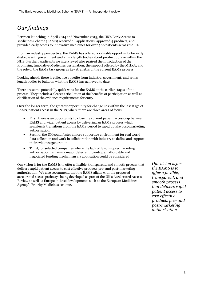## *Our findings*

Between launching in April 2014 and November 2015, the UK's Early Access to Medicines Scheme (EAMS) received 18 applications, approved 4 products, and provided early access to innovative medicines for over 500 patients across the UK.

From an industry perspective, the EAMS has offered a valuable opportunity for early dialogue with government and arm's length bodies about product uptake within the NHS. Further, applicants we interviewed also praised the introduction of the Promising Innovative Medicines designation, the support offered by the MHRA, and the role of the EAMS task group as key strengths of the current EAMS process.

Looking ahead, there is collective appetite from industry, government, and arm's length bodies to build on what the EAMS has achieved to date.

There are some potentially quick wins for the EAMS at the earlier stages of the process. They include a clearer articulation of the benefits of participation as well as clarification of the evidence requirements for entry.

Over the longer term, the greatest opportunity for change lies within the last stage of EAMS, patient access in the NHS, where there are three areas of focus:

- First, there is an opportunity to close the current patient access gap between EAMS and wider patient access by delivering an EAMS process which seamlessly transitions from the EAMS period to rapid uptake post-marketing authorisation
- Second, the UK could foster a more supportive environment for real world data collection and work in collaboration with industry to define and support their evidence generation
- Third, for selected companies where the lack of funding pre-marketing authorisation remains a major deterrent to entry, an affordable and negotiated funding mechanism via application could be considered

Our vision is for the EAMS is to offer a flexible, transparent, and smooth process that delivers rapid patient access to cost effective products pre- and post-marketing authorisation. We also recommend that the EAMS aligns with the proposed accelerated access pathways being developed as part of the UK's Accelerated Access Review as well as European-level developments such as the European Medicines Agency's Priority Medicines scheme.

*Our vision is for the EAMS is to offer a flexible, transparent, and smooth process that delivers rapid patient access to cost effective products pre- and post-marketing authorisation*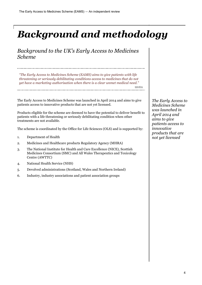## <span id="page-4-0"></span>*Background and methodology*

*Background to the UK's Early Access to Medicines Scheme*

*"The Early Access to Medicines Scheme (EAMS) aims to give patients with life threatening or seriously debilitating conditions access to medicines that do not yet have a marketing authorisation when there is a clear unmet medical need."*

MHRA

The Early Access to Medicines Scheme was launched in April 2014 and aims to give patients access to innovative products that are not yet licensed.

Products eligible for the scheme are deemed to have the potential to deliver benefit to patients with a life threatening or seriously debilitating condition when other treatments are not available.

The scheme is coordinated by the Office for Life Sciences (OLS) and is supported by:

- 1. Department of Health
- 2. Medicines and Healthcare products Regulatory Agency (MHRA)
- 3. The National Institute for Health and Care Excellence (NICE), Scottish Medicines Consortium (SMC) and All Wales Therapeutics and Toxicology Centre (AWTTC)
- 4. National Health Service (NHS)
- 5. Devolved administrations (Scotland, Wales and Northern Ireland)
- 6. Industry, industry associations and patient association groups

*The Early Access to Medicines Scheme was launched in April 2014 and aims to give patients access to innovative products that are not yet licensed*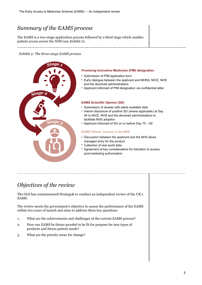## *Summary of the EAMS process*

The EAMS is a two-stage application process followed by a third stage which enables patient access across the NHS (see *Exhibit 2*).

#### *Exhibit 2: The three-stage EAMS process*



#### **Promising Innovative Medicines (PIM) designation**

- Submission of PIM application form
- Early dialogue between the applicant and MHRA, NICE, NHS and the devolved administrations
- Applicant informed of PIM designation via confidential letter

#### **EAMS Scientific Opinion (SO)**

- Submission of dossier with latest available data
- Interim disclosure of positive SO (where applicable) at Day 45 to NICE, NHS and the devolved administrations to facilitate NHS adoption
- Applicant informed of SO on or before Day 75 90

#### **EAMS Patient Access in the NHS**

- Discussion between the applicant and the NHS about managed entry for the product
- Collection of real world data •
- Agreement of key considerations for transition to access •post-marketing authorisation

## *Objectives of the review*

The OLS has commissioned Strategy& to conduct an independent review of the UK's EAMS.

The review meets the government's objective to assess the performance of the EAMS within two years of launch and aims to address three key questions:

- 1. What are the achievements and challenges of the current EAMS process?
- 2. How can EAMS be future proofed to be fit for purpose for new types of products and future patient needs?
- 3. What are the priority areas for change?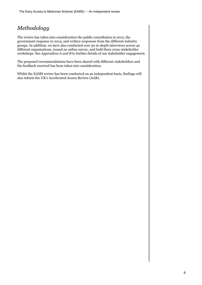## *Methodology*

The review has taken into consideration the public consultation in 2012, the government response in 2014, and written responses from the different industry groups. In addition, we have also conducted over 50 in-depth interviews across 42 different organisations, issued an online survey, and held three cross-stakeholder workshops. See *Appendices A and B* to further details of our stakeholder engagement.

The proposed recommendations have been shared with different stakeholders and the feedback received has been taken into consideration.

Whilst the EAMS review has been conducted on an independent basis, findings will also inform the UK's Accelerated Access Review (AAR).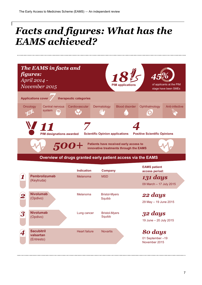## <span id="page-7-0"></span>*Facts and figures: What has the EAMS achieved?*



### **Overview of drugs granted early patient access via the EAMS**

|                         |                                              | <b>Indication</b>    | <b>Company</b>                 | <b>EAMS patient</b><br>access period:       |
|-------------------------|----------------------------------------------|----------------------|--------------------------------|---------------------------------------------|
|                         | <b>Pembrolizumab</b><br>(Keytruda)           | Melanoma             | <b>MSD</b>                     | 131 days<br>09 March - 17 July 2015         |
| 2                       | <b>Nivolumab</b><br>(Opdivo)                 | Melanoma             | <b>Bristol-Myers</b><br>Squibb | 22 days<br>29 May - 19 June 2015            |
| $\overline{\mathbf{3}}$ | <b>Nivolumab</b><br>(Opdivo)                 | Lung cancer          | <b>Bristol-Myers</b><br>Squibb | 32 days<br>19 June - 20 July 2015           |
|                         | <b>Sacubitril</b><br>valsartan<br>(Entresto) | <b>Heart failure</b> | <b>Novartis</b>                | 80 days<br>01 September-19<br>November 2015 |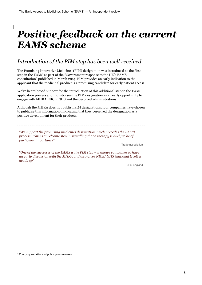## <span id="page-8-0"></span>*Positive feedback on the current EAMS scheme*

## *Introduction of the PIM step has been well received*

The Promising Innovative Medicines (PIM) designation was introduced as the first step in the EAMS as part of the "Government response to the UK's EAMS consultation" published in March 2014. PIM provides an early indication to the applicant that the medicinal product is a promising candidate for early patient access.

We've heard broad support for the introduction of this additional step to the EAMS application process and industry see the PIM designation as an early opportunity to engage with MHRA, NICE, NHS and the devolved administrations.

Although the MHRA does not publish PIM designations, four companies have chosen to publicise this information<sup>1</sup>, indicating that they perceived the designation as a positive development for their products.

*"We support the promising medicines designation which precedes the EAMS process. This is a welcome step in signalling that a therapy is likely to be of particular importance"*

Trade association

*"One of the successes of the EAMS is the PIM step – it allows companies to have an early discussion with the MHRA and also gives NICE/ NHS (national level) a heads up"*

NHS England

-

<sup>1</sup> Company websites and public press releases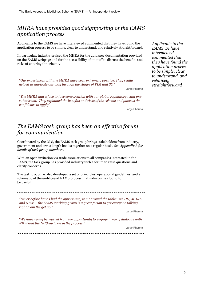## *MHRA have provided good signposting of the EAMS application process*

Applicants to the EAMS we have interviewed commented that they have found the application process to be simple, clear to understand, and relatively straightforward.

In particular, industry praised the MHRA for the guidance documentation provided on the EAMS webpage and for the accessibility of its staff to discuss the benefits and risks of entering the scheme.

*"Our experiences with the MHRA have been extremely positive. They really helped us navigate our way through the stages of PIM and SO"*

Large Pharma

*"The MHRA had a face to face conversation with our global regulatory team presubmission. They explained the benefits and risks of the scheme and gave us the confidence to apply"*

Large Pharma

## *The EAMS task group has been an effective forum for communication*

Coordinated by the OLS, the EAMS task group brings stakeholders from industry, government and arm's length bodies together on a regular basis. *See Appendix B for details of task group members.*

With an open invitation via trade associations to all companies interested in the EAMS, the task group has provided industry with a forum to raise questions and clarify concerns.

The task group has also developed a set of principles, operational guidelines, and a schematic of the end-to-end EAMS process that industry has found to be useful.

*"Never before have I had the opportunity to sit around the table with DH, MHRA and NICE – the EAMS working group is a great forum to get everyone talking right from the get go."*

Large Pharma

*"We have really benefitted from the opportunity to engage in early dialogue with NICE and the NHS early on in the process."*

Large Pharma

*Applicants to the EAMS we have interviewed commented that they have found the application process to be simple, clear to understand, and relatively straightforward*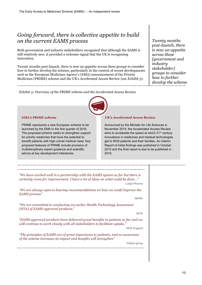## *Going forward, there is collective appetite to build on the current EAMS process*

Both government and industry stakeholders recognised that although the EAMS is still relatively new, it provided a welcome signal that the UK is recognising innovation.

Twenty months post-launch, there is now an appetite across these groups to consider how to further develop the scheme, particularly in the context of recent developments such as the European Medicines Agency's (EMA) announcement of the Priority Medicines (PRIME) scheme and the UK's Accelerated Access Review (see *Exhibit 3*).

*Twenty months post-launch, there is now an appetite across these [government and industry stakeholder] groups to consider how to further develop the scheme*

*Exhibit 3: Overview of the PRIME scheme and the Accelerated Access Review*



#### *EMA's PRIME scheme*

PRIME represents a new European scheme to be launched by the EMA in the first quarter of 2016. The proposed scheme seeks to strengthen support for priority medicines that have the potential to benefit patients with high unmet medical need. Key proposed features of PRIME include provision of multidisciplinary expert guidance and scientific advice at key development milestones.

#### *UK's Accelerated Access Review*

Announced by the Minister for Life Sciences in November 2014, the Accelerated Access Review aims to accelerate the speed at which 21<sup>st</sup> century innovations in medicines and medical technologies get to NHS patients and their families. An Interim Report of initial findings was published in October 2015 and the final report is due to be published in 2016.

| "We have worked well in a partnership with the EAMS system so far but there is<br>certainly room for improvement. I have a lot of ideas on what could be done"<br>Large Pharma |  |
|--------------------------------------------------------------------------------------------------------------------------------------------------------------------------------|--|
| "We are always open to hearing recommendations on how we could improve the<br>EAMS process"                                                                                    |  |
| <b>MHRA</b>                                                                                                                                                                    |  |
| "We are committed to conducting an earlier Health Technology Assessment<br>(HTA) of EAMS approved products."                                                                   |  |
| <b>NICE</b>                                                                                                                                                                    |  |
| "EAMS approved products have delivered great benefits to patients so far and we<br>will continue to work closely with all stakeholders to facilitate uptake."                  |  |
| <b>NHS England</b>                                                                                                                                                             |  |
| "The principles of EAMS are of great importance to patients, and as awareness<br>of the scheme increases its impact and benefits will strengthen"                              |  |
| Patient group                                                                                                                                                                  |  |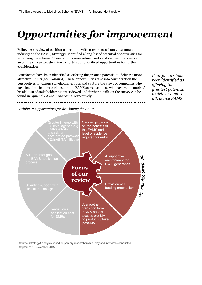## <span id="page-11-0"></span>*Opportunities for improvement*

Following a review of position papers and written responses from government and industry on the EAMS, Strategy& identified a long-list of potential opportunities for improving the scheme. These options were refined and validated via interviews and an online survey to determine a short-list of prioritised opportunities for further consideration.

Four factors have been identified as offering the greatest potential to deliver a more attractive EAMS (*see Exhibit 4)*. These opportunities take into consideration the perspectives of various stakeholder groups and capture the views of companies who have had first-hand experiences of the EAMS as well as those who have yet to apply. A breakdown of stakeholders we interviewed and further details on the survey can be found in *Appendix A* and *Appendix C* respectively.

*Four factors have been identified as offering the greatest potential to deliver a more attractive EAMS*

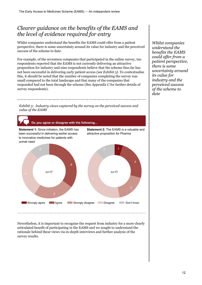## *Clearer guidance on the benefits of the EAMS and the level of evidence required for entry*

Whilst companies understand the benefits the EAMS could offer from a patient perspective, there is some uncertainty around its value for industry and the perceived success of the scheme to date.

For example, of the seventeen companies that participated in the online survey, ten respondents reported that the EAMS is not currently delivering an attractive proposition for industry and nine respondents believe that the scheme thus far has not been successful in delivering early patient access *(see Exhibit 5)*. To contextualise this, it should be noted that the number of companies completing the survey was small compared to the total landscape and that many of the companies that responded had not been through the scheme (See *Appendix C* for further details of survey respondents).

*Whilst companies understand the benefits the EAMS could offer from a patient perspective, there is some uncertainty around its value for industry and the perceived success of the scheme to date*

*Exhibit 5: Industry views captured by the survey on the perceived success and value of the EAMS*



Nevertheless, it is important to recognise the request from industry for a more clearly articulated benefit of participating in the EAMS and we sought to understand the rationale behind these views via in-depth interviews and further analysis of the survey results.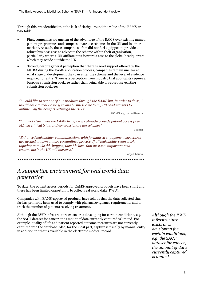Through this, we identified that the lack of clarity around the value of the EAMS are two-fold:

- First, companies are unclear of the advantage of the EAMS over existing named patient programmes and compassionate use schemes in the UK and in other markets. As such, these companies often did not feel equipped to provide a robust business case to advocate the scheme within their organisation, particularly where a UK affiliate puts forward a case to the global headquarters which may reside outside the UK
- Second, despite general perception that there is good support offered by the MHRA during the EAMS application process, companies remain unclear at what stage of development they can enter the scheme and the level of evidence required for entry. There is a perception from industry that applicants require a bespoke submission package rather than being able to repurpose existing submission packages

*"I would like to put one of our products through the EAMS but, in order to do so, I would have to make a very strong business case to my US headquarters to outline why the benefits outweigh the risks"*

UK affiliate, Large Pharma

*"I am not clear what the EAMS brings – we already provide patient access pre-MA via clinical trials and compassionate use schemes"*

Biotech

*"Enhanced stakeholder communications with formalised engagement structures are needed to form a more streamlined process. If all stakeholders can work together to make this happen, then I believe that access to important new treatments in the UK will increase."*

Large Pharma

## *A supportive environment for real world data generation*

To date, the patient access periods for EAMS-approved products have been short and there has been limited opportunity to collect real world data (RWD).

Companies with EAMS-approved products have told us that the data collected thus far has primarily been used to comply with pharmacovigilance requirements and to track the number of patients receiving treatment.

Although the RWD infrastructure exists or is developing for certain conditions, e.g. the SACT dataset for cancer, the amount of data currently captured is limited. For example, quality of life and patient reported outcome measures are not currently captured into the database. Also, for the most part, capture is usually by manual entry in addition to what is available in the electronic medical record.

*Although the RWD infrastructure exists or is developing for certain conditions, e.g. the SACT dataset for cancer, the amount of data currently captured is limited*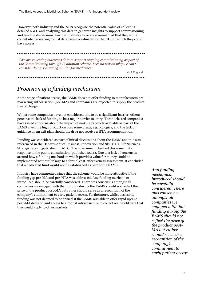However, both industry and the NHS recognise the potential value of collecting detailed RWD and analysing this data to generate insights to support commissioning and funding discussions. Further, industry have also commented that they would contribute to creating robust databases coordinated by the NHS to which they could have access.

*"We are collecting outcomes data to support ongoing commissioning as part of the Commissioning through Evaluation scheme. I see no reason why we can't consider doing something similar for medicines"*

NHS England

## *Provision of a funding mechanism*

At the stage of patient access, the EAMS does not offer funding to manufacturers premarketing authorisation (pre-MA) and companies are expected to supply the product free of charge.

Whilst some companies have not considered this to be a significant barrier, others perceive the lack of funding to be a major barrier to entry. These selected companies have raised concerns about the impact of making products available as part of the EAMS given the high production cost some drugs, e.g. biologics, and the lack of guidance on an exit plan should the drug not receive a HTA recommendation.

Funding was considered as part of initial discussions about the EAMS and this was referenced in the Department of Business, Innovation and Skills' UK Life Sciences Strategy report (published in 2011). The government clarified this issue in its response to the public consultation (published 2014). Due to a lack of consensus around how a funding mechanism which provides value for money could be implemented without linkage to a formal cost-effectiveness assessment, it concluded that a dedicated fund would not be established as part of the EAMS.

Industry have commented since that the scheme would be more attractive if the funding gap pre-MA and pre-HTA was addressed. Any funding mechanism introduced should be carefully considered. There was consensus amongst all companies we engaged with that funding during the EAMS should not reflect the price of the product post-MA but rather should serve as a recognition of the company's commitment to early patient access. Furthermore, whilst desirable, funding was not deemed to be critical if the EAMS was able to offer rapid uptake post-MA decision and access to a robust infrastructure to collect real world data that they could apply to other markets.

*Any funding mechanism introduced should be carefully considered. There was consensus amongst all companies we engaged with that funding during the EAMS should not reflect the price of the product post-MA but rather should serve as a recognition of the company's commitment to early patient access*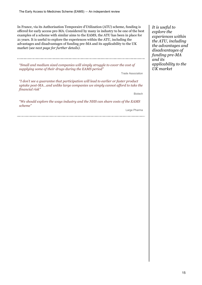In France, via its Authorisation Temporaire d'Utilization (ATU) scheme, funding is offered for early access pre-MA. Considered by many in industry to be one of the best examples of a scheme with similar aims to the EAMS, the ATU has been in place for 21 years. It is useful to explore the experiences within the ATU, including the advantages and disadvantages of funding pre-MA and its applicability to the UK market (*see next page for further details)*.

*"Small and medium sized companies will simply struggle to cover the cost of supplying some of their drugs during the EAMS period"*

Trade Association

*"I don't see a guarantee that participation will lead to earlier or faster product uptake post-MA…and unlike large companies we simply cannot afford to take the financial risk"*

Biotech

*"We should explore the ways industry and the NHS can share costs of the EAMS scheme"*

Large Pharma

*It is useful to explore the experiences within the ATU, including the advantages and disadvantages of funding pre-MA and its applicability to the UK market*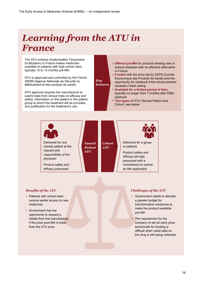## *Learning from the ATU in France*

The ATU scheme (Authorisation Temporaire d'Utilization) in France makes medicines available to patients with high unmet need, typically 10 to 12 months pre-MA.

ATU is approved and controlled by the French ANSM (Agence Nationale de Sécurité du Médicament et des produits de santé).

ATU approval requires the manufacturer to submit data from clinical trials on efficacy and safety, information on the patient or the patient group to which the treatment will be provided, and justification for the treatment's use.

- **Offered pre-MA** for products treating rare or serious diseases with no effective alternative in France
- **Funded** with the price set by CEPS (Comité Economique des Produits de Santé) and the opportunity for clawback if the reimbursement exceeds a fixed ceiling
- **Available for a limited period of time,**  typically no longer than 7 months after EMA approval
- **Two types** of ATU: Named Patient and Cohort, see below. •



*Key features*

- Patients with unmet need receive earlier access to new medicines
- Government has the opportunity to request a rebate from the manufacturer if the price post-MA is lower than the ATU price

#### *Benefits of the ATU Benefits of the ATU*

- Government needs to allocate a greater budget for transformative medicines to make the product available pre-MA
- The requirement for the company to set an early price benchmark for funding is difficult when value data on the drug is still being collected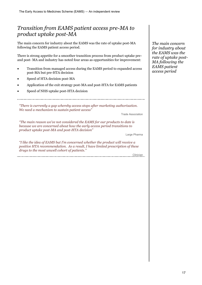## *Transition from EAMS patient access pre-MA to product uptake post-MA*

The main concern for industry about the EAMS was the rate of uptake post-MA following the EAMS patient access period.

There is strong appetite for a smoother transition process from product uptake preand post- MA and industry has noted four areas as opportunities for improvement:

- Transition from managed access during the EAMS period to expanded access post-MA but pre-HTA decision
- Speed of HTA decision post-MA
- Application of the exit strategy post-MA and post-HTA for EAMS patients
- Speed of NHS uptake post-HTA decision

*"There is currently a gap whereby access stops after marketing authorisation. We need a mechanism to sustain patient access"*

Trade Association

*"The main reason we've not considered the EAMS for our products to date is because we are concerned about how the early access period transitions to product uptake post-MA and post-HTA decision"*

Large Pharma

*"I like the idea of EAMS but I'm concerned whether the product will receive a positive HTA recommendation. As a result, I have limited prescription of these drugs to the most unwell cohort of patients."*

Clinician 

*The main concern for industry about the EAMS was the rate of uptake post-MA following the EAMS patient access period*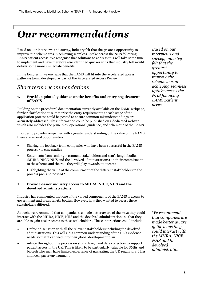## <span id="page-18-0"></span>*Our recommendations*

Based on our interviews and survey, industry felt that the greatest opportunity to improve the scheme was in achieving seamless uptake across the NHS following EAMS patient access. We recognise that solutions to address this will take some time to implement and have therefore also identified quicker wins that industry felt would deliver some more immediate benefits.

In the long term, we envisage that the EAMS will fit into the accelerated access pathways being developed as part of the Accelerated Access Review.

## *Short term recommendations*

### **1. Provide updated guidance on the benefits and entry requirements of EAMS**

Building on the procedural documentation currently available on the EAMS webpage, further clarification to summarise the entry requirements at each stage of the application process could be posted to ensure common misunderstandings are accurately addressed. This information could be published on a dedicated website which also includes the principles, operational guidance, and schematic of the EAMS.

In order to provide companies with a greater understanding of the value of the EAMS, there are several opportunities:

- Sharing the feedback from companies who have been successful in the EAMS process via case studies
- Statements from senior government stakeholders and arm's length bodies (MHRA, NICE, NHS and the devolved administrations) on their commitment to the scheme and the role they will play towards its success
- Highlighting the value of the commitment of the different stakeholders to the process pre- and post-MA

#### **2. Provide easier industry access to MHRA, NICE, NHS and the devolved administrations**

Industry has commented that one of the valued components of the EAMS is access to government and arm's length bodies. However, how they wanted to access these stakeholders differed.

As such, we recommend that companies are made better aware of the ways they could interact with the MHRA, NICE, NHS and the devolved administrations so that they are able to gain easier access to these stakeholders. These interactions could include:

- Upfront discussion with all the relevant stakeholders including the devolved administrations. This will aid a common understanding of the UK's evidence needs so that it can feed into their global development plan
- Advice throughout the process on study design and data collection to support patient access in the UK. This is likely to be particularly valuable for SMEs and biotech who may have limited experience of navigating the UK regulatory, HTA and local payer environment

*Based on our interviews and survey, industry felt that the greatest opportunity to improve the scheme was in achieving seamless uptake across the NHS following EAMS patient access*

*We recommend that companies are made better aware of the ways they could interact with the MHRA, NICE, NHS and the devolved administrations*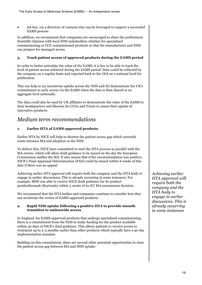Ad-hoc, via a directory of contacts who can be leveraged to support a successful EAMS process

In addition, we recommend that companies are encouraged to share the preliminary Scientific Opinion with local NHS stakeholders whether for specialised commissioning or CCG commissioned products so that the manufacturer and NHS can prepare for managed access.

### **3. Track patient access of approved products during the EAMS period**

In order to better articulate the value of the EAMS, it is key to be able to track the level of patient access achieved during the EAMS period. Data could be collected by the company on a regular basis and reported back to the OLS on a national level for publication.

This can help to (a) incentivise uptake across the NHS and (b) demonstrate the UK's commitment to early access via the EAMS when the data is then shared at an aggregate level nationally.

The data could also be used by UK affiliates to demonstrate the value of the EAMS to their headquarters and likewise for CCGs and Trusts to assess their uptake of innovative products.

## *Medium term recommendations*

### **1. Earlier HTA of EAMS-approved products**

Earlier HTA by NICE will help to shorten the patient access gap which currently exists between MA and adoption in the NHS.

To deliver this, NICE have committed to start the HTA process in parallel with the MA review, which will allow draft guidance to be issued on the day the European Commission ratifies the MA. It also means that if the recommendation was positive, NICE's Final Appraisal Determination (FAD) could be issued within 6 weeks of this date if there was no appeal.

Achieving earlier HTA approval will require both the company and the HTA body to engage in earlier discussions. This is already occurring in some instances. For example, MSD was able to receive NICE draft guidance for its product pembrolizumab (Keytruda) within 5 weeks of its EU MA commission decision.

We recommend that the HTA bodies and companies continue to consider how they can accelerate the review of EAMS-approved products.

#### **2. Rapid NHS uptake following a positive HTA to provide smooth transition to nationwide access**

In England, for EAMS-approved products that undergo specialised commissioning, there is a commitment from the NHS to make funding for the product available within 30 days of NICE's final guidance. This allows patients to receive access to treatment up to 2-3 months earlier than other products which typically have a 90 day implementation mandate.

Building on this commitment, there are several other potential opportunities to close the patient access gap between MA and NHS uptake:

*Achieving earlier HTA approval will require both the company and the HTA body to engage in earlier discussions. This is already occurring in some instances*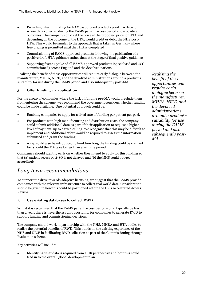- Providing interim funding for EAMS-approved products pre-HTA decision where data collected during the EAMS patient access period show positive outcomes. The company could set the price at the proposed price for HTA and, depending on the outcome of the HTA, would credit or debit the NHS post-HTA. This would be similar to the approach that is taken in Germany where free pricing is permitted until the HTA is completed
- Commissioning of EAMS-approved products following the publication of a positive draft HTA guidance rather than at the stage of final positive guidance
- Supporting faster uptake of all EAMS-approved products (specialised and CCG commissioned) across England and the devolved nations

Realising the benefit of these opportunities will require early dialogue between the manufacturer, MHRA, NICE, and the devolved administrations around a product's suitability for use during the EAMS period and also subsequently post-MA.

### **3. Offer funding via application**

For the group of companies where the lack of funding pre-MA would preclude them from entering the scheme, we recommend the government considers whether funding could be made available. One potential approach could be:

- Enabling companies to apply for a fixed rate of funding per patient per pack
- For products with high manufacturing and distribution costs, the company could submit additional data as part of their application to request a higher level of payment, up to a fixed ceiling. We recognise that this may be difficult to implement and additional effort would be required to assess the information submitted and grant the funding
- A cap could also be introduced to limit how long the funding could be claimed for, should the MA take longer than a set time period

Companies should identify early on whether they intend to apply for this funding so that (a) patient access post-SO is not delayed and (b) the NHS could budget accordingly.

## *Long term recommendations*

To support the drive towards adaptive licensing, we suggest that the EAMS provide companies with the relevant infrastructure to collect real world data. Consideration should be given to how this could be positioned within the UK's Accelerated Access Review.

### **1. Use existing databases to collect RWD**

Whilst it is recognised that the EAMS patient access period would typically be less than a year, there is nevertheless an opportunity for companies to generate RWD to support funding and commissioning decisions.

The company should work in partnership with the NHS, MHRA and HTA bodies to realise the potential benefits of RWD. This builds on the existing experience of the NHS and NICE in facilitating RWD collection as part of the Commissioning through Evaluation scheme.

Key activities will include:

 Identifying what data is required from a UK perspective and how this could feed in to the overall global development plan

*Realising the benefit of these opportunities will require early dialogue between the manufacturer, MHRA, NICE, and the devolved administrations around a product's suitability for use during the EAMS period and also subsequently post-MA*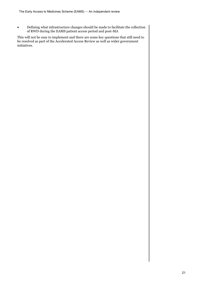Defining what infrastructure changes should be made to facilitate the collection of RWD during the EAMS patient access period and post-MA

This will not be easy to implement and there are some key questions that still need to be resolved as part of the Accelerated Access Review as well as wider government initiatives.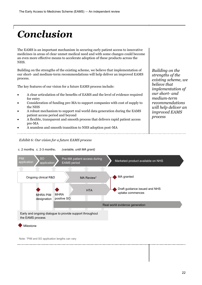# <span id="page-22-0"></span>*Conclusion*

The EAMS is an important mechanism in securing early patient access to innovative medicines in areas of clear unmet medical need and with some changes could become an even more effective means to accelerate adoption of these products across the NHS.

Building on the strengths of the existing scheme, we believe that implementation of our short- and medium-term recommendations will help deliver an improved EAMS process.

The key features of our vision for a future EAMS process include:

- A clear articulation of the benefits of EAMS and the level of evidence required for entry
- Consideration of funding pre-MA to support companies with cost of supply to the NHS
- A robust mechanism to support real world data generation during the EAMS patient access period and beyond
- A flexible, transparent and smooth process that delivers rapid patient access pre-MA
- A seamless and smooth transition to NHS adoption post-MA

#### *Exhibit 6: Our vision for a future EAMS process*

PIM



Note: <sup>1</sup>PIM and SO application lengths can vary

Milestone

*strengths of the existing scheme, we believe that implementation of our short- and medium-term recommendations will help deliver an improved EAMS* 

*Building on the*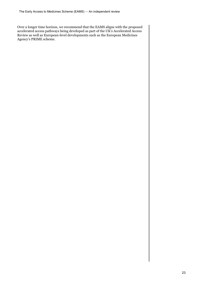Over a longer time horizon, we recommend that the EAMS aligns with the proposed accelerated access pathways being developed as part of the UK's Accelerated Access Review as well as European-level developments such as the European Medicines Agency's PRIME scheme.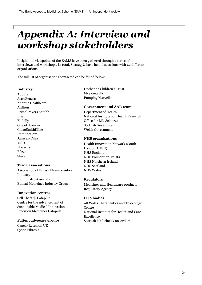## <span id="page-24-0"></span>*Appendix A: Interview and workshop stakeholders*

Insight and viewpoints of the EAMS have been gathered through a series of interviews and workshops. In total, Strategy& have held discussions with 42 different organisations.

The full list of organisations contacted can be found below:

#### **Industry**

AbbVie AstraZeneca Atlantic Healthcare Avillion Bristol-Myers Squibb Eisai Eli Lilly Gilead Sciences GlaxoSmithKline ImmunoCore Janssen-Cilag MSD Novartis Pfizer Shire

### **Trade associations**

Association of British Pharmaceutical Industry BioIndustry Association Ethical Medicines Industry Group

#### **Innovation centres**

Cell Therapy Catapult Centre for the Advancement of Sustainable Medical Innovation Precision Medicines Catapult

#### **Patient advocacy groups**

Cancer Research UK Cystic Fibrosis

Duchenne Children's Trust Myeloma UK Pumping Marvellous

### **Government and AAR team**

Department of Health National Institute for Health Research Office for Life Sciences Scottish Government Welsh Government

### **NHS organisations**

Health Innovation Network (South London AHSN) NHS England NHS Foundation Trusts NHS Northern Ireland NHS Scotland NHS Wales

### **Regulators**

Medicines and Healthcare products Regulatory Agency

### **HTA bodies**

All Wales Therapeutics and Toxicology Centre National Institute for Health and Care Excellence Scottish Medicines Consortium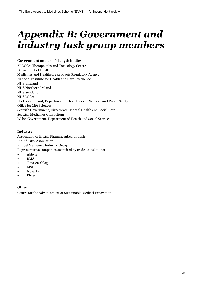## <span id="page-25-0"></span>*Appendix B: Government and industry task group members*

### **Government and arm's length bodies**

All Wales Therapeutics and Toxicology Centre Department of Health Medicines and Healthcare products Regulatory Agency National Institute for Health and Care Excellence NHS England NHS Northern Ireland NHS Scotland NHS Wales Northern Ireland, Department of Health, Social Services and Public Safety Office for Life Sciences Scottish Government, Directorate General Health and Social Care Scottish Medicines Consortium Welsh Government, Department of Health and Social Services

### **Industry**

Association of British Pharmaceutical Industry BioIndustry Association Ethical Medicines Industry Group Representative companies as invited by trade associations:

- **Abbvie**
- BMS
- Janssen-Cilag
- MSD
- Novartis
- Pfizer

### **Other**

Centre for the Advancement of Sustainable Medical Innovation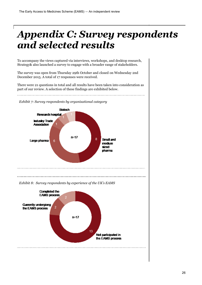## <span id="page-26-0"></span>*Appendix C: Survey respondents and selected results*

To accompany the views captured via interviews, workshops, and desktop research, Strategy& also launched a survey to engage with a broader range of stakeholders.

The survey was open from Thursday 29th October and closed on Wednesday 2nd December 2015. A total of 17 responses were received.

There were 21 questions in total and all results have been taken into consideration as part of our review. A selection of these findings are exhibited below.

*Exhibit 7: Survey respondents by organisational category*



*Exhibit 8: Survey respondents by experience of the UK's EAMS*

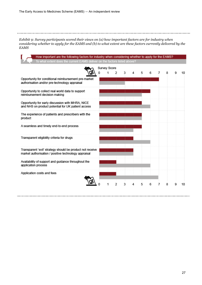#### *Exhibit 9: Survey participants scored their views on (a) how important factors are for industry when considering whether to apply for the EAMS and (b) to what extent are these factors currently delivered by the EAMS*

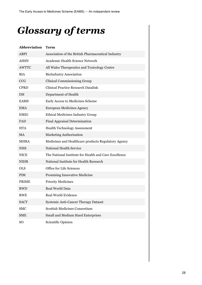## <span id="page-28-0"></span>*Glossary of terms*

| <b>Abbreviation</b> | Term                                                  |
|---------------------|-------------------------------------------------------|
| <b>ABPI</b>         | Association of the British Pharmaceutical Industry    |
| AHSN                | Academic Health Science Network                       |
| <b>AWTTC</b>        | All Wales Therapeutics and Toxicology Centre          |
| <b>BIA</b>          | <b>BioIndustry Association</b>                        |
| <b>CCG</b>          | <b>Clinical Commissioning Group</b>                   |
| <b>CPRD</b>         | <b>Clinical Practice Research Datalink</b>            |
| DH                  | Department of Health                                  |
| <b>EAMS</b>         | Early Access to Medicines Scheme                      |
| <b>EMA</b>          | <b>European Medicines Agency</b>                      |
| <b>EMIG</b>         | <b>Ethical Medicines Industry Group</b>               |
| <b>FAD</b>          | <b>Final Appraisal Determination</b>                  |
| <b>HTA</b>          | <b>Health Technology Assessment</b>                   |
| <b>MA</b>           | <b>Marketing Authorisation</b>                        |
| <b>MHRA</b>         | Medicines and Healthcare products Regulatory Agency   |
| <b>NHS</b>          | <b>National Health Service</b>                        |
| <b>NICE</b>         | The National Institute for Health and Care Excellence |
| <b>NIHR</b>         | National Institute for Health Research                |
| <b>OLS</b>          | Office for Life Sciences                              |
| PIM                 | <b>Promising Innovative Medicine</b>                  |
| <b>PRIME</b>        | <b>Priority Medicines</b>                             |
| <b>RWD</b>          | Real World Data                                       |
| <b>RWE</b>          | <b>Real World Evidence</b>                            |
| <b>SACT</b>         | <b>Systemic Anti-Cancer Therapy Dataset</b>           |
| <b>SMC</b>          | <b>Scottish Medicines Consortium</b>                  |
| <b>SME</b>          | Small and Medium Sized Enterprises                    |
| SO                  | Scientific Opinion                                    |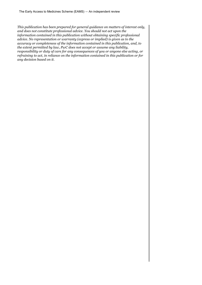*This publication has been prepared for general guidance on matters of interest only, and does not constitute professional advice. You should not act upon the information contained in this publication without obtaining specific professional advice. No representation or warranty (express or implied) is given as to the accuracy or completeness of the information contained in this publication, and, to the extent permitted by law, PwC does not accept or assume any liability, responsibility or duty of care for any consequences of you or anyone else acting, or refraining to act, in reliance on the information contained in this publication or for any decision based on it.*